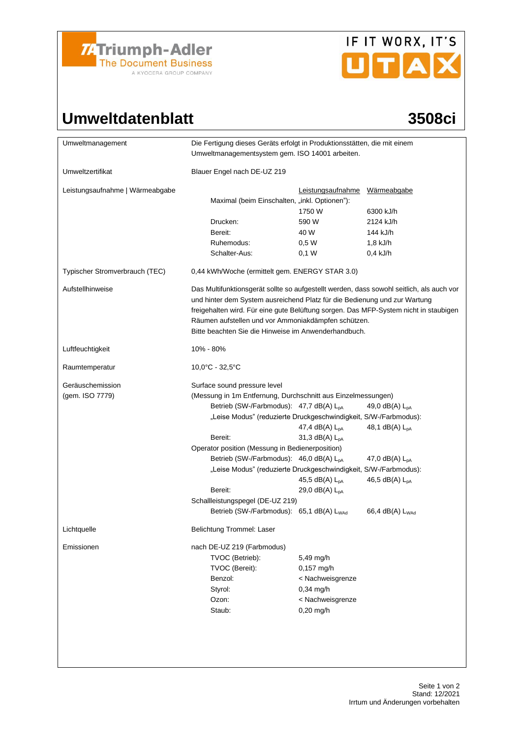

# IF IT WORX, IT'S UTAX

### Umweltdatenblatt 3508ci

| Umweltmanagement                    | Die Fertigung dieses Geräts erfolgt in Produktionsstätten, die mit einem<br>Umweltmanagementsystem gem. ISO 14001 arbeiten.                                                                                                                                                                                                                                                                                                                                                                                             |                                                                                               |                                                                                                                           |  |  |
|-------------------------------------|-------------------------------------------------------------------------------------------------------------------------------------------------------------------------------------------------------------------------------------------------------------------------------------------------------------------------------------------------------------------------------------------------------------------------------------------------------------------------------------------------------------------------|-----------------------------------------------------------------------------------------------|---------------------------------------------------------------------------------------------------------------------------|--|--|
| Umweltzertifikat                    | Blauer Engel nach DE-UZ 219                                                                                                                                                                                                                                                                                                                                                                                                                                                                                             |                                                                                               |                                                                                                                           |  |  |
| Leistungsaufnahme   Wärmeabgabe     | Maximal (beim Einschalten, "inkl. Optionen"):                                                                                                                                                                                                                                                                                                                                                                                                                                                                           | Leistungsaufnahme                                                                             | Wärmeabgabe                                                                                                               |  |  |
|                                     |                                                                                                                                                                                                                                                                                                                                                                                                                                                                                                                         | 1750 W                                                                                        | 6300 kJ/h                                                                                                                 |  |  |
|                                     | Drucken:                                                                                                                                                                                                                                                                                                                                                                                                                                                                                                                | 590 W                                                                                         | 2124 kJ/h                                                                                                                 |  |  |
|                                     | Bereit:                                                                                                                                                                                                                                                                                                                                                                                                                                                                                                                 | 40 W                                                                                          | 144 kJ/h                                                                                                                  |  |  |
|                                     | Ruhemodus:                                                                                                                                                                                                                                                                                                                                                                                                                                                                                                              | 0,5 W                                                                                         | $1,8$ kJ/h                                                                                                                |  |  |
|                                     | Schalter-Aus:                                                                                                                                                                                                                                                                                                                                                                                                                                                                                                           | 0,1 W                                                                                         | $0,4$ kJ/h                                                                                                                |  |  |
| Typischer Stromverbrauch (TEC)      | 0,44 kWh/Woche (ermittelt gem. ENERGY STAR 3.0)                                                                                                                                                                                                                                                                                                                                                                                                                                                                         |                                                                                               |                                                                                                                           |  |  |
| Aufstellhinweise                    | Das Multifunktionsgerät sollte so aufgestellt werden, dass sowohl seitlich, als auch vor<br>und hinter dem System ausreichend Platz für die Bedienung und zur Wartung<br>freigehalten wird. Für eine gute Belüftung sorgen. Das MFP-System nicht in staubigen<br>Räumen aufstellen und vor Ammoniakdämpfen schützen.<br>Bitte beachten Sie die Hinweise im Anwenderhandbuch.                                                                                                                                            |                                                                                               |                                                                                                                           |  |  |
| Luftfeuchtigkeit                    | 10% - 80%                                                                                                                                                                                                                                                                                                                                                                                                                                                                                                               |                                                                                               |                                                                                                                           |  |  |
| Raumtemperatur                      | 10,0°C - 32,5°C                                                                                                                                                                                                                                                                                                                                                                                                                                                                                                         |                                                                                               |                                                                                                                           |  |  |
| Geräuschemission<br>(gem. ISO 7779) | Surface sound pressure level<br>(Messung in 1m Entfernung, Durchschnitt aus Einzelmessungen)<br>Betrieb (SW-/Farbmodus): 47,7 dB(A) L <sub>pA</sub><br>"Leise Modus" (reduzierte Druckgeschwindigkeit, S/W-/Farbmodus):<br>Bereit:<br>Operator position (Messung in Bedienerposition)<br>Betrieb (SW-/Farbmodus): 46,0 dB(A) L <sub>pA</sub><br>"Leise Modus" (reduzierte Druckgeschwindigkeit, S/W-/Farbmodus):<br>Bereit:<br>Schallleistungspegel (DE-UZ 219)<br>Betrieb (SW-/Farbmodus): 65,1 dB(A) L <sub>WAd</sub> | 47,4 dB(A) $L_{pA}$<br>31,3 $dB(A)$ $L_{pA}$<br>45,5 dB(A) $L_{pA}$<br>29,0 $dB(A)$ $L_{pA}$  | 49,0 dB(A) $L_{pA}$<br>48,1 dB(A) $L_{DA}$<br>47,0 $dB(A)$ $L_{pA}$<br>46,5 dB(A) $L_{pA}$<br>66,4 dB(A) L <sub>WAd</sub> |  |  |
| Lichtquelle                         | Belichtung Trommel: Laser                                                                                                                                                                                                                                                                                                                                                                                                                                                                                               |                                                                                               |                                                                                                                           |  |  |
| Emissionen                          | nach DE-UZ 219 (Farbmodus)<br>TVOC (Betrieb):<br>TVOC (Bereit):<br>Benzol:<br>Styrol:<br>Ozon:<br>Staub:                                                                                                                                                                                                                                                                                                                                                                                                                | 5,49 mg/h<br>0,157 mg/h<br>< Nachweisgrenze<br>$0,34$ mg/h<br>< Nachweisgrenze<br>$0,20$ mg/h |                                                                                                                           |  |  |
|                                     |                                                                                                                                                                                                                                                                                                                                                                                                                                                                                                                         |                                                                                               |                                                                                                                           |  |  |